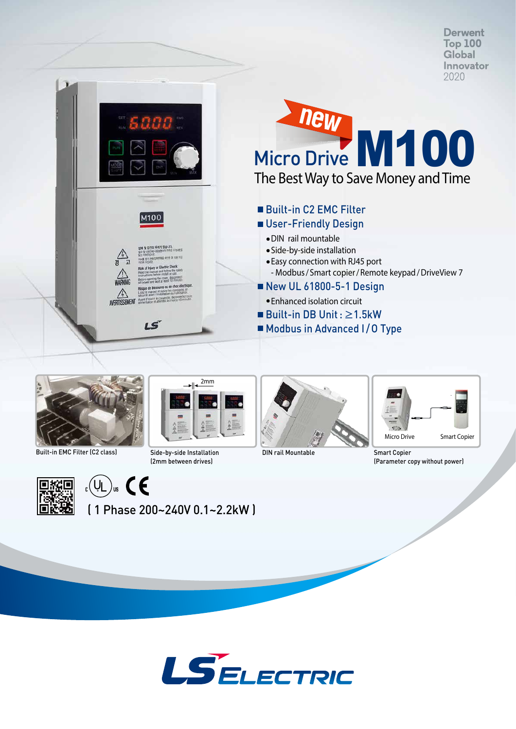**Derwent Top 100** Global Innovator 2020







Built-in EMC Filter (C2 class) Side-by-side Installation (2mm between drives)



**DIN rail Mountable Smart Copier** 



(Parameter copy without power)



 $\left(\bigcup_{c}$   $\bigcup_{w}$   $\left(\bigcup_{c}$ 

( 1 Phase 200~240V 0.1~2.2kW )